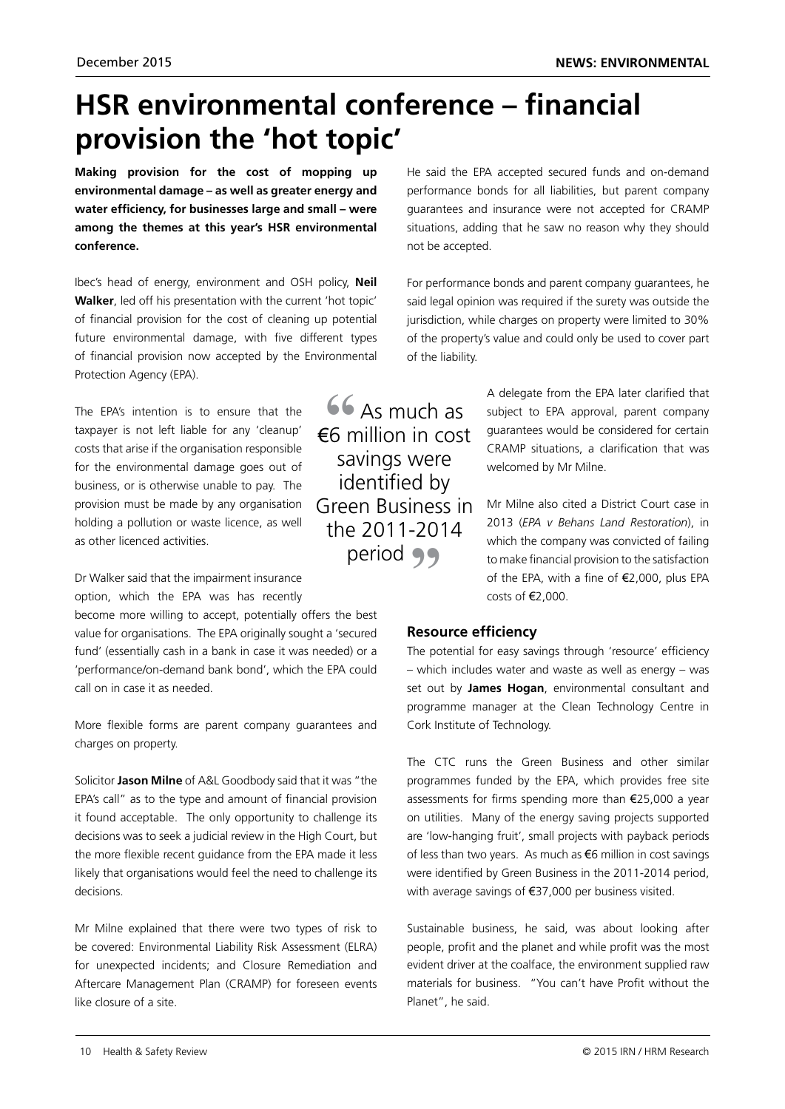# **HSR environmental conference – financial provision the 'hot topic'**

**Making provision for the cost of mopping up environmental damage – as well as greater energy and water efficiency, for businesses large and small – were among the themes at this year's HSR environmental conference.**

Ibec's head of energy, environment and OSH policy, **Neil Walker**, led off his presentation with the current 'hot topic' of financial provision for the cost of cleaning up potential future environmental damage, with five different types of financial provision now accepted by the Environmental Protection Agency (EPA).

The EPA's intention is to ensure that the taxpayer is not left liable for any 'cleanup' costs that arise if the organisation responsible for the environmental damage goes out of business, or is otherwise unable to pay. The provision must be made by any organisation holding a pollution or waste licence, as well as other licenced activities.

Dr Walker said that the impairment insurance option, which the EPA was has recently

become more willing to accept, potentially offers the best value for organisations. The EPA originally sought a 'secured fund' (essentially cash in a bank in case it was needed) or a 'performance/on-demand bank bond', which the EPA could call on in case it as needed.

More flexible forms are parent company guarantees and charges on property.

Solicitor **Jason Milne** of A&L Goodbody said that it was "the EPA's call" as to the type and amount of financial provision it found acceptable. The only opportunity to challenge its decisions was to seek a judicial review in the High Court, but the more flexible recent guidance from the EPA made it less likely that organisations would feel the need to challenge its decisions.

Mr Milne explained that there were two types of risk to be covered: Environmental Liability Risk Assessment (ELRA) for unexpected incidents; and Closure Remediation and Aftercare Management Plan (CRAMP) for foreseen events like closure of a site.

He said the EPA accepted secured funds and on-demand performance bonds for all liabilities, but parent company guarantees and insurance were not accepted for CRAMP situations, adding that he saw no reason why they should not be accepted.

For performance bonds and parent company guarantees, he said legal opinion was required if the surety was outside the jurisdiction, while charges on property were limited to 30% of the property's value and could only be used to cover part of the liability.

**66** As much as €6 million in cost savings were identified by Green Business in the 2011-2014 period **99** 

A delegate from the EPA later clarified that subject to EPA approval, parent company guarantees would be considered for certain CRAMP situations, a clarification that was welcomed by Mr Milne.

Mr Milne also cited a District Court case in 2013 (*EPA v Behans Land Restoration*), in which the company was convicted of failing to make financial provision to the satisfaction of the EPA, with a fine of €2,000, plus EPA costs of €2,000.

## **Resource efficiency**

The potential for easy savings through 'resource' efficiency – which includes water and waste as well as energy – was set out by **James Hogan**, environmental consultant and programme manager at the Clean Technology Centre in Cork Institute of Technology.

The CTC runs the Green Business and other similar programmes funded by the EPA, which provides free site assessments for firms spending more than €25,000 a year on utilities. Many of the energy saving projects supported are 'low-hanging fruit', small projects with payback periods of less than two years. As much as €6 million in cost savings were identified by Green Business in the 2011-2014 period, with average savings of €37,000 per business visited.

Sustainable business, he said, was about looking after people, profit and the planet and while profit was the most evident driver at the coalface, the environment supplied raw materials for business. "You can't have Profit without the Planet", he said.